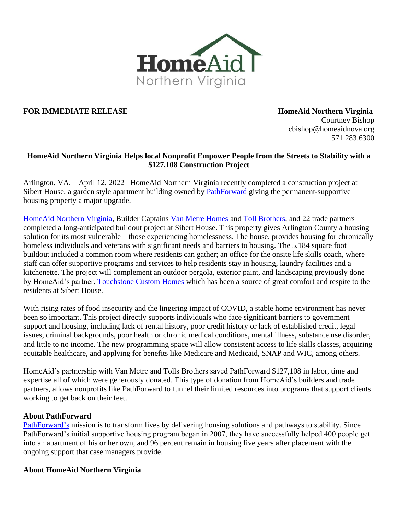

## **FOR IMMEDIATE RELEASE HomeAid Northern Virginia**

Courtney Bishop cbishop@homeaidnova.org 571.283.6300

## **HomeAid Northern Virginia Helps local Nonprofit Empower People from the Streets to Stability with a \$127,108 Construction Project**

Arlington, VA. – April 12, 2022 –HomeAid Northern Virginia recently completed a construction project at Sibert House, a garden style apartment building owned by [PathForward](https://pathforwardva.org/impact/housing-rapid-permanent/) giving the permanent-supportive housing property a major upgrade.

[HomeAid Northern Virginia,](https://homeaidnova.org/) Builder Captains [Van Metre Homes](https://vanmetrehomes.com/) and [Toll Brothers,](https://www.tollbrothers.com/) and 22 trade partners completed a long-anticipated buildout project at Sibert House. This property gives Arlington County a housing solution for its most vulnerable – those experiencing homelessness. The house, provides housing for chronically homeless individuals and veterans with significant needs and barriers to housing. The 5,184 square foot buildout included a common room where residents can gather; an office for the onsite life skills coach, where staff can offer supportive programs and services to help residents stay in housing, laundry facilities and a kitchenette. The project will complement an outdoor pergola, exterior paint, and landscaping previously done by HomeAid's partner, [Touchstone Custom Homes](https://touchstonecustomhomes.com/) which has been a source of great comfort and respite to the residents at Sibert House.

With rising rates of food insecurity and the lingering impact of COVID, a stable home environment has never been so important. This project directly supports individuals who face significant barriers to government support and housing, including lack of rental history, poor credit history or lack of established credit, legal issues, criminal backgrounds, poor health or chronic medical conditions, mental illness, substance use disorder, and little to no income. The new programming space will allow consistent access to life skills classes, acquiring equitable healthcare, and applying for benefits like Medicare and Medicaid, SNAP and WIC, among others.

HomeAid's partnership with Van Metre and Tolls Brothers saved PathForward \$127,108 in labor, time and expertise all of which were generously donated. This type of donation from HomeAid's builders and trade partners, allows nonprofits like PathForward to funnel their limited resources into programs that support clients working to get back on their feet.

## **About PathForward**

[PathForward's](https://pathforwardva.org/) mission is to transform lives by delivering housing solutions and pathways to stability. Since PathForward's initial supportive housing program began in 2007, they have successfully helped 400 people get into an apartment of his or her own, and 96 percent remain in housing five years after placement with the ongoing support that case managers provide.

## **About HomeAid Northern Virginia**